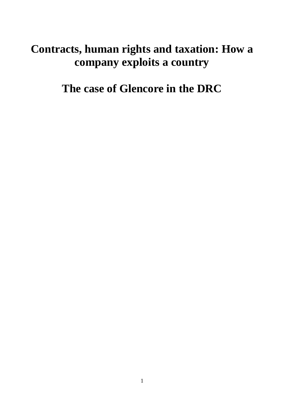# **Contracts, human rights and taxation: How a company exploits a country**

**The case of Glencore in the DRC**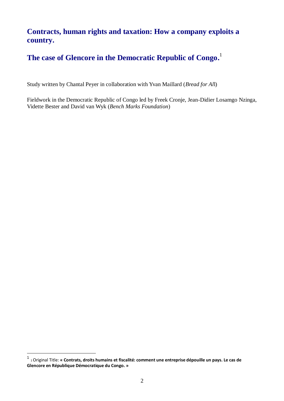# **Contracts, human rights and taxation: How a company exploits a country.**

# **The case of Glencore in the Democratic Republic of Congo.** 1

Study written by Chantal Peyer in collaboration with Yvan Maillard (*Bread for Al*l)

Fieldwork in the Democratic Republic of Congo led by Freek Cronje, Jean-Didier Losamgo Nzinga, Vidette Bester and David van Wyk (*Bench Marks Foundation*)

1

<sup>1</sup> <sup>1</sup>Original Title: **« Contrats, droits humains et fiscalité: comment une entreprise dépouille un pays. Le cas de Glencore en République Démocratique du Congo. »**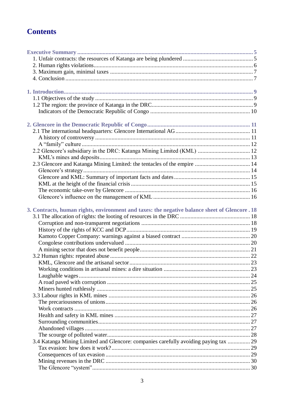# **Contents**

| 2.2 Glencore's subsidiary in the DRC: Katanga Mining Limited (KML)  12                         |  |
|------------------------------------------------------------------------------------------------|--|
|                                                                                                |  |
| 2.3 Glencore and Katanga Mining Limited: the tentacles of the empire  14                       |  |
|                                                                                                |  |
|                                                                                                |  |
|                                                                                                |  |
|                                                                                                |  |
|                                                                                                |  |
| 3. Contracts, human rights, environment and taxes: the negative balance sheet of Glencore . 18 |  |
|                                                                                                |  |
|                                                                                                |  |
|                                                                                                |  |
|                                                                                                |  |
|                                                                                                |  |
|                                                                                                |  |
|                                                                                                |  |
|                                                                                                |  |
|                                                                                                |  |
|                                                                                                |  |
|                                                                                                |  |
|                                                                                                |  |
|                                                                                                |  |
|                                                                                                |  |
|                                                                                                |  |
|                                                                                                |  |
|                                                                                                |  |
|                                                                                                |  |
|                                                                                                |  |
| 3.4 Katanga Mining Limited and Glencore: companies carefully avoiding paying tax  29           |  |
|                                                                                                |  |
|                                                                                                |  |
|                                                                                                |  |
|                                                                                                |  |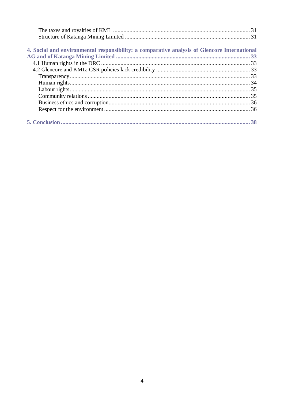| 4. Social and environmental responsibility: a comparative analysis of Glencore International |  |
|----------------------------------------------------------------------------------------------|--|
|                                                                                              |  |
|                                                                                              |  |
|                                                                                              |  |
|                                                                                              |  |
|                                                                                              |  |
|                                                                                              |  |
|                                                                                              |  |
|                                                                                              |  |
|                                                                                              |  |
|                                                                                              |  |
|                                                                                              |  |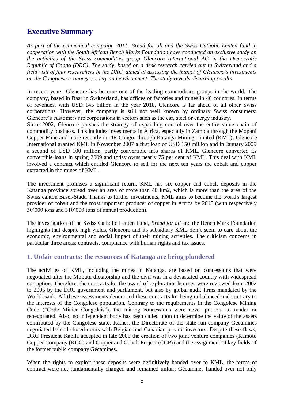# <span id="page-4-0"></span>**Executive Summary**

*As part of the ecumenical campaign 2011, Bread for all and the Swiss Catholic Lenten fund in cooperation with the South African Bench Marks Foundation have conducted an exclusive study on the activities of the Swiss commodities group Glencore International AG in the Democratic Republic of Congo (DRC). The study, based on a desk research carried out in Switzerland and a field visit of four researchers in the DRC, aimed at assessing the impact of Glencore's investments on the Congolese economy, society and environment. The study reveals disturbing results.* 

In recent years, Glencore has become one of the leading commodities groups in the world. The company, based in Baar in Switzerland, has offices or factories and mines in 40 countries. In terms of revenues, with USD 145 billion in the year 2010, Glencore is far ahead of all other Swiss corporations. However, the company is still not well known by ordinary Swiss consumers: Glencore's customers are corporations in sectors such as the car, steel or energy industry.

Since 2002, Glencore pursues the strategy of expanding control over the entire value chain of commodity business. This includes investments in Africa, especially in Zambia through the Mopani Copper Mine and more recently in DR Congo, through Katanga Mining Limited (KML). Glencore International granted KML in November 2007 a first loan of USD 150 million and in January 2009 a second of USD 100 million, partly convertible into shares of KML. Glencore converted its convertible loans in spring 2009 and today owns nearly 75 per cent of KML. This deal with KML involved a contract which entitled Glencore to sell for the next ten years the cobalt and copper extracted in the mines of KML.

The investment promises a significant return. KML has six copper and cobalt deposits in the Katanga province spread over an area of more than 40 km2, which is more than the area of the Swiss canton Basel-Stadt. Thanks to further investments, KML aims to become the world's largest provider of cobalt and the most important producer of copper in Africa by 2015 (with respectively 30'000 tons and 310'000 tons of annual production).

The investigation of the Swiss Catholic Lenten Fund, *Bread for all* and the Bench Mark Foundation highlights that despite high yields, Glencore and its subsidiary KML don't seem to care about the economic, environmental and social impact of their mining activities. The criticism concerns in particular three areas: contracts, compliance with human rights and tax issues.

#### <span id="page-4-1"></span>**1. Unfair contracts: the resources of Katanga are being plundered**

The activities of KML, including the mines in Katanga, are based on concessions that were negotiated after the Mobutu dictatorship and the civil war in a devastated country with widespread corruption. Therefore, the contracts for the award of exploration licenses were reviewed from 2002 to 2005 by the DRC government and parliament, but also by global audit firms mandated by the World Bank. All these assessments denounced these contracts for being unbalanced and contrary to the interests of the Congolese population. Contrary to the requirements in the Congolese Mining Code ("Code Minier Congolais"), the mining concessions were never put out to tender or renegotiated. Also, no independent body has been called upon to determine the value of the assets contributed by the Congolese state. Rather, the Directorate of the state-run company Gécamines negotiated behind closed doors with Belgian and Canadian private investors. Despite these flaws, DRC President Kabila accepted in late 2005 the creation of two joint venture companies (Kamoto Copper Company (KCC) and Copper and Cobalt Project (CCP)) and the assignment of key fields of the former public company Gécamines.

When the rights to exploit these deposits were definitively handed over to KML, the terms of contract were not fundamentally changed and remained unfair: Gécamines handed over not only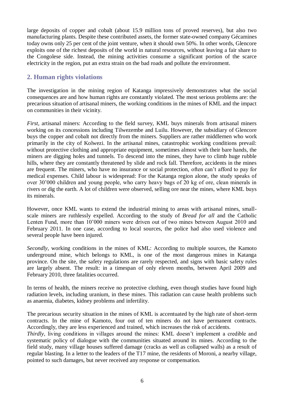large deposits of copper and cobalt (about 15.9 million tons of proved reserves), but also two manufacturing plants. Despite these contributed assets, the former state-owned company Gécamines today owns only 25 per cent of the joint venture, when it should own 50%. In other words, Glencore exploits one of the richest deposits of the world in natural resources, without leaving a fair share to the Congolese side. Instead, the mining activities consume a significant portion of the scarce electricity in the region, put an extra strain on the bad roads and pollute the environment.

# <span id="page-5-0"></span>**2. Human rights violations**

The investigation in the mining region of Katanga impressively demonstrates what the social consequences are and how human rights are constantly violated. The most serious problems are: the precarious situation of artisanal miners, the working conditions in the mines of KML and the impact on communities in their vicinity.

*First*, artisanal miners: According to the field survey, KML buys minerals from artisanal miners working on its concessions including Tilwezembe and Luilu. However, the subsidiary of Glencore buys the copper and cobalt not directly from the miners. Suppliers are rather middlemen who work primarily in the city of Kolwezi. In the artisanal mines, catastrophic working conditions prevail: without protective clothing and appropriate equipment, sometimes almost with their bare hands, the miners are digging holes and tunnels. To descend into the mines, they have to climb huge rubble hills, where they are constantly threatened by slide and rock fall. Therefore, accidents in the mines are frequent. The miners, who have no insurance or social protection, often can't afford to pay for medical expenses. Child labour is widespread: For the Katanga region alone, the study speaks of over 30'000 children and young people, who carry heavy bags of 20 kg of ore, clean minerals in rivers or dig the earth. A lot of children were observed, selling ore near the mines, where KML buys its minerals.

However, once KML wants to extend the industrial mining to areas with artisanal mines, smallscale miners are ruthlessly expelled. According to the study of *Bread for all* and the Catholic Lenten Fund, more than 10'000 miners were driven out of two mines between August 2010 and February 2011. In one case, according to local sources, the police had also used violence and several people have been injured.

*Secondly*, working conditions in the mines of KML: According to multiple sources, the Kamoto underground mine, which belongs to KML, is one of the most dangerous mines in Katanga province. On the site, the safety regulations are rarely respected, and signs with basic safety rules are largely absent. The result: in a timespan of only eleven months, between April 2009 and February 2010, three fatalities occurred.

In terms of health, the miners receive no protective clothing, even though studies have found high radiation levels, including uranium, in these mines. This radiation can cause health problems such as anaemia, diabetes, kidney problems and infertility.

The precarious security situation in the mines of KML is accentuated by the high rate of short-term contracts. In the mine of Kamoto, four out of ten miners do not have permanent contracts. Accordingly, they are less experienced and trained, which increases the risk of accidents.

*Thirdly*, living conditions in villages around the mines: KML doesn't implement a credible and systematic policy of dialogue with the communities situated around its mines. According to the field study, many village houses suffered damage (cracks as well as collapsed walls) as a result of regular blasting. In a letter to the leaders of the T17 mine, the residents of Moroni, a nearby village, pointed to such damages, but never received any response or compensation.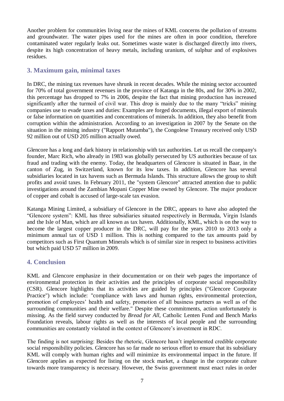Another problem for communities living near the mines of KML concerns the pollution of streams and groundwater. The water pipes used for the mines are often in poor condition, therefore contaminated water regularly leaks out. Sometimes waste water is discharged directly into rivers, despite its high concentration of heavy metals, including uranium, of sulphur and of explosives residues.

#### <span id="page-6-0"></span>**3. Maximum gain, minimal taxes**

In DRC, the mining tax revenues have shrunk in recent decades. While the mining sector accounted for 70% of total government revenues in the province of Katanga in the 80s, and for 30% in 2002, this percentage has dropped to 7% in 2006, despite the fact that mining production has increased significantly after the turmoil of civil war. This drop is mainly due to the many "tricks" mining companies use to evade taxes and duties: Examples are forged documents, illegal export of minerals or false information on quantities and concentrations of minerals. In addition, they also benefit from corruption within the administration. According to an investigation in 2007 by the Senate on the situation in the mining industry ("Rapport Mutamba"), the Congolese Treasury received only USD 92 million out of USD 205 million actually owed.

Glencore has a long and dark history in relationship with tax authorities. Let us recall the company's founder, Marc Rich, who already in 1983 was globally persecuted by US authorities because of tax fraud and trading with the enemy. Today, the headquarters of Glencore is situated in Baar, in the canton of Zug, in Switzerland, known for its low taxes. In addition, Glencore has several subsidiaries located in tax havens such as Bermuda Islands. This structure allows the group to shift profits and avoid taxes. In February 2011, the "system Glencore" attracted attention due to public investigations around the Zambian Mopani Copper Mine owned by Glencore. The major producer of copper and cobalt is accused of large-scale tax evasion.

Katanga Mining Limited, a subsidiary of Glencore in the DRC, appears to have also adopted the "Glencore system": KML has three subsidiaries situated respectively in Bermuda, Virgin Islands and the Isle of Man, which are all known as tax haven. Additionally, KML, which is on the way to become the largest copper producer in the DRC, will pay for the years 2010 to 2013 only a minimum annual tax of USD 1 million. This is nothing compared to the tax amounts paid by competitors such as First Quantum Minerals which is of similar size in respect to business activities but which paid USD 57 million in 2009.

#### <span id="page-6-1"></span>**4. Conclusion**

KML and Glencore emphasize in their documentation or on their web pages the importance of environmental protection in their activities and the principles of corporate social responsibility (CSR). Glencore highlights that its activities are guided by principles ("Glencore Corporate Practice") which include: "compliance with laws and human rights, environmental protection, promotion of employees' health and safety, promotion of all business partners as well as of the surrounding communities and their welfare." Despite these commitments, action unfortunately is missing. As the field survey conducted by *Bread for All*, Catholic Lenten Fund and Bench Marks Foundation reveals, labour rights as well as the interests of local people and the surrounding communities are constantly violated in the context of Glencore's investment in RDC.

The finding is not surprising: Besides the rhetoric, Glencore hasn't implemented credible corporate social responsibility policies. Glencore has so far made no serious effort to ensure that its subsidiary KML will comply with human rights and will minimize its environmental impact in the future. If Glencore applies as expected for listing on the stock market, a change in the corporate culture towards more transparency is necessary. However, the Swiss government must enact rules in order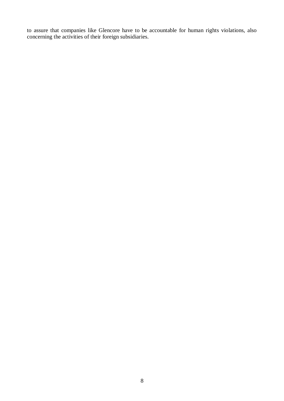to assure that companies like Glencore have to be accountable for human rights violations, also concerning the activities of their foreign subsidiaries.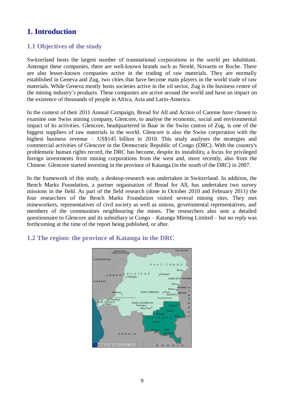# <span id="page-8-0"></span>**1. Introduction**

# <span id="page-8-1"></span>**1.1 Objectives of the study**

Switzerland hosts the largest number of transnational corporations in the world per inhabitant. Amongst these companies, there are well-known brands such as Nestlé, Novartis or Roche. There are also lesser-known companies active in the trading of raw materials. They are normally established in Geneva and Zug, two cities that have become main players in the world trade of raw materials. While Geneva mostly hosts societies active in the oil sector, Zug is the business centre of the mining industry's products. These companies are active around the world and have an impact on the existence of thousands of people in Africa, Asia and Latin-America.

In the context of their 2011 Annual Campaign, Bread for All and Action of Careme have chosen to examine one Swiss mining company, Glencore, to analyse the economic, social and environmental impact of its activities. Glencore, headquartered in Baar in the Swiss canton of Zug, is one of the biggest suppliers of raw materials in the world. Glencore is also the Swiss corporation with the highest business revenue – US\$145 billion in 2010. This study analyses the strategies and commercial activities of Glencore in the Democratic Republic of Congo (DRC). With the country's problematic human rights record, the DRC has become, despite its instability, a focus for privileged foreign investments from mining corporations from the west and, more recently, also from the Chinese. Glencore started investing in the province of Katanga (in the south of the DRC) in 2007.

In the framework of this study, a desktop-research was undertaken in Switzerland. In addition, the Bench Marks Foundation, a partner organisation of Bread for All, has undertaken two survey missions in the field. As part of the field research (done in October 2010 and February 2011) the four researchers of the Bench Marks Foundation visited several mining sites. They met mineworkers, representatives of civil society as well as unions, governmental representatives, and members of the communities neighbouring the mines. The researchers also sent a detailed questionnaire to Glencore and its subsidiary in Congo – Katanga Mining Limited – but no reply was forthcoming at the time of the report being published, or after.



# <span id="page-8-2"></span>**1.2 The region: the province of Katanga in the DRC**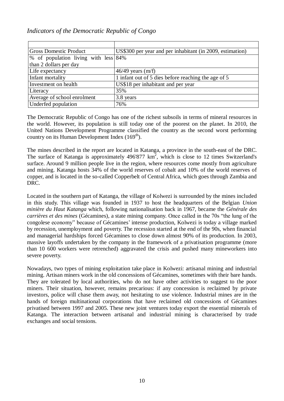#### <span id="page-9-0"></span>*Indicators of the Democratic Republic of Congo*

| <b>Gross Domestic Product</b>        | US\$300 per year and per inhabitant (in 2009, estimation) |
|--------------------------------------|-----------------------------------------------------------|
| % of population living with less 84% |                                                           |
| than 2 dollars per day               |                                                           |
| Life expectancy                      | $46/49$ years (m/f)                                       |
| Infant mortality                     | 1 infant out of 5 dies before reaching the age of 5       |
| Investment on health                 | US\$18 per inhabitant and per year                        |
| Literacy                             | 35%                                                       |
| Average of school enrolment          | 3.8 years                                                 |
| Underfed population                  | 76%                                                       |

The Democratic Republic of Congo has one of the richest subsoils in terms of mineral resources in the world. However, its population is still today one of the poorest on the planet. In 2010, the United Nations Development Programme classified the country as the second worst performing country on its Human Development Index  $(169<sup>th</sup>)$ .

The mines described in the report are located in Katanga, a province in the south-east of the DRC. The surface of Katanga is approximately  $496'877 \text{ km}^2$ , which is close to 12 times Switzerland's surface. Around 9 million people live in the region, where resources come mostly from agriculture and mining. Katanga hosts 34% of the world reserves of cobalt and 10% of the world reserves of copper, and is located in the so-called Copperbelt of Central Africa, which goes through Zambia and DRC.

Located in the southern part of Katanga, the village of Kolwezi is surrounded by the mines included in this study. This village was founded in 1937 to host the headquarters of the Belgian *Union minière du Haut Katanga* which, following nationalisation back in 1967, became the *Générale des carrières et des mines* (Gécamines), a state mining company. Once called in the 70s "the lung of the congolese economy" because of Gécamines' intense production, Kolwezi is today a village marked by recession, unemployment and poverty. The recession started at the end of the 90s, when financial and managerial hardships forced Gécamines to close down almost 90% of its production. In 2003, massive layoffs undertaken by the company in the framework of a privatisation programme (more than 10 600 workers were retrenched) aggravated the crisis and pushed many mineworkers into severe poverty.

Nowadays, two types of mining exploitation take place in Kolwezi: artisanal mining and industrial mining. Artisan miners work in the old concessions of Gécamines, sometimes with their bare hands. They are tolerated by local authorities, who do not have other activities to suggest to the poor miners. Their situation, however, remains precarious: if any concession is reclaimed by private investors, police will chase them away, not hesitating to use violence. Industrial mines are in the hands of foreign multinational corporations that have reclaimed old concessions of Gécamines privatised between 1997 and 2005. These new joint ventures today export the essential minerals of Katanga. The interaction between artisanal and industrial mining is characterised by trade exchanges and social tensions.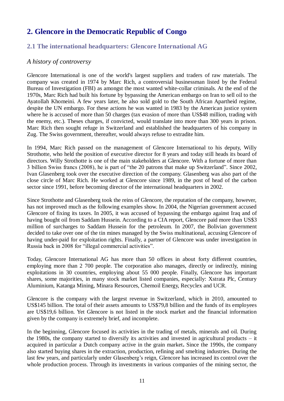# <span id="page-10-0"></span>**2. Glencore in the Democratic Republic of Congo**

### <span id="page-10-1"></span>**2.1 The international headquarters: Glencore International AG**

#### <span id="page-10-2"></span>*A history of controversy*

Glencore International is one of the world's largest suppliers and traders of raw materials. The company was created in 1974 by Marc Rich, a controversial businessman listed by the Federal Bureau of Investigation (FBI) as amongst the most wanted white-collar criminals. At the end of the 1970s, Marc Rich had built his fortune by bypassing the American embargo on Iran to sell oil to the Ayatollah Khomeini. A few years later, he also sold gold to the South African Apartheid regime, despite the UN embargo. For these actions he was wanted in 1983 by the American justice system where he is accused of more than 50 charges (tax evasion of more than US\$48 million, trading with the enemy, etc.). Theses charges, if convicted, would translate into more than 300 years in prison. Marc Rich then sought refuge in Switzerland and established the headquarters of his company in Zug. The Swiss government, thereafter, would always refuse to extradite him.

In 1994, Marc Rich passed on the management of Glencore International to his deputy, Willy Strothotte, who held the position of executive director for 8 years and today still heads its board of directors. Willy Strothotte is one of the main stakeholders at Glencore. With a fortune of more than 3 billion Swiss francs (2008), he is part of "the 20 patrons that make up Switzerland". Since 2002, Ivan Glasenberg took over the executive direction of the company. Glasenberg was also part of the close circle of Marc Rich. He worked at Glencore since 1989, in the post of head of the carbon sector since 1991, before becoming director of the international headquarters in 2002.

Since Strothotte and Glasenberg took the reins of Glencore, the reputation of the company, however, has not improved much as the following examples show. In 2004, the Nigerian government accused Glencore of fixing its taxes. In 2005, it was accused of bypassing the embargo against Iraq and of having bought oil from Saddam Hussein. According to a CIA report, Glencore paid more than US\$3 million of surcharges to Saddam Hussein for the petroleum. In 2007, the Bolivian government decided to take over one of the tin mines managed by the Swiss multinational, accusing Glencore of having under-paid for exploitation rights. Finally, a partner of Glencore was under investigation in Russia back in 2008 for "illegal commercial activities".

Today, Glencore International AG has more than 50 offices in about forty different countries, employing more than 2 700 people. The corporation also manages, directly or indirectly, mining exploitations in 30 countries, employing about 55 000 people. Finally, Glencore has important shares, some majorities, in many stock market listed companies, especially: Xstrata Plc, Century Aluminium, Katanga Mining, Minara Resources, Chemoil Energy, Recyclex and UCR.

Glencore is the company with the largest revenue in Switzerland, which in 2010, amounted to US\$145 billion. The total of their assets amounts to US\$79,8 billion and the funds of its employees are US\$19,6 billion. Yet Glencore is not listed in the stock market and the financial information given by the company is extremely brief, and incomplete.

In the beginning, Glencore focused its activities in the trading of metals, minerals and oil. During the 1980s, the company started to diversify its activities and invested in agricultural products – it acquired in particular a Dutch company active in the grain market**.** Since the 1990s, the company also started buying shares in the extraction, production, refining and smelting industries. During the last few years, and particularly under Glasenberg's reign, Glencore has increased its control over the whole production process. Through its investments in various companies of the mining sector, the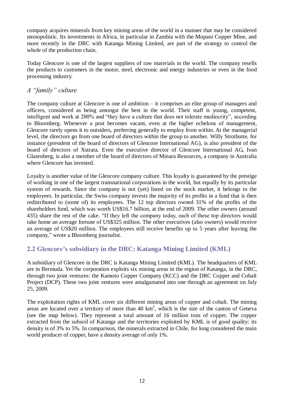company acquires minerals from key mining areas of the world in a manner that may be considered monopolistic. Its investments in Africa, in particular in Zambia with the Mopani Copper Mine, and more recently in the DRC with Katanga Mining Limited, are part of the strategy to control the whole of the production chain.

Today Glencore is one of the largest suppliers of raw materials in the world. The company resells the products to customers in the motor, steel, electronic and energy industries or even in the food processing industry.

# <span id="page-11-0"></span>*A "family" culture*

The company culture at Glencore is one of ambition – it comprises an elite group of managers and officers, considered as being amongst the best in the world. Their staff is young, competent, intelligent and work at 200% and "they have a culture that does not tolerate mediocrity", according to Bloomberg. Whenever a post becomes vacant, even at the higher echelons of management, Glencore rarely opens it to outsiders, preferring generally to employ from within. At the managerial level, the directors go from one board of directors within the group to another. Willy Strothotte, for instance (president of the board of directors of Glencore International AG), is also president of the board of directors of Xstrata. Even the executive director of Glencore International AG, Ivan Glasenberg, is also a member of the board of directors of Minara Resources, a company in Australia where Glencore has invested.

Loyalty is another value of the Glencore company culture. This loyalty is guaranteed by the prestige of working in one of the largest transnational corporations in the world, but equally by its particular system of rewards. Since the company is not (yet) listed on the stock market, it belongs to the employees. In particular, the Swiss company invests the majority of its profits in a fund that is then redistributed to (some of) its employees. The 12 top directors owned 31% of the profits of the shareholders fund, which was worth US\$16.7 billion, at the end of 2009. The other owners (around 435) share the rest of the cake. "If they left the company today, each of these top directors would take home an average fortune of US\$325 million. The other executives (also owners) would receive an average of US\$20 million. The employees still receive benefits up to 5 years after leaving the company," wrote a Bloomberg journalist.

# <span id="page-11-1"></span>**2.2 Glencore's subsidiary in the DRC: Katanga Mining Limited (KML)**

A subsidiary of Glencore in the DRC is Katanga Mining Limited (KML). The headquarters of KML are in Bermuda. Yet the corporation exploits six mining areas in the region of Katanga, in the DRC, through two joint ventures: the Kamoto Copper Company (KCC) and the DRC Copper and Cobalt Project (DCP). These two joint ventures were amalgamated into one through an agreement on July 25, 2009.

The exploitation rights of KML cover six different mining areas of copper and cobalt. The mining areas are located over a territory of more than  $40 \text{ km}^2$ , which is the size of the canton of Geneva (see the map below). They represent a total amount of 16 million tons of copper. The copper extracted from the subsoil of Katanga and the territories exploited by KML is of good quality: its density is of 3% to 5%. In comparison, the minerals extracted in Chile, for long considered the main world producer of copper, have a density average of only 1%.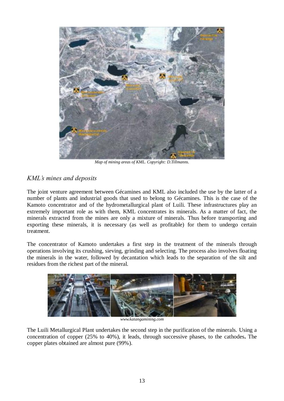

*Map of mining areas of KML. Copyright: D.Tillmanns.*

# <span id="page-12-0"></span>*KML's mines and deposits*

The joint venture agreement between Gécamines and KML also included the use by the latter of a number of plants and industrial goods that used to belong to Gécamines. This is the case of the Kamoto concentrator and of the hydrometallurgical plant of Luili. These infrastructures play an extremely important role as with them, KML concentrates its minerals. As a matter of fact, the minerals extracted from the mines are only a mixture of minerals. Thus before transporting and exporting these minerals, it is necessary (as well as profitable) for them to undergo certain treatment.

The concentrator of Kamoto undertakes a first step in the treatment of the minerals through operations involving its crushing, sieving, grinding and selecting. The process also involves floating the minerals in the water, followed by decantation which leads to the separation of the silt and residues from the richest part of the mineral.



*[www.katangamining.com](http://www.katangamining.com/)*

The Luili Metallurgical Plant undertakes the second step in the purification of the minerals. Using a concentration of copper (25% to 40%), it leads, through successive phases, to the cathodes**.** The copper plates obtained are almost pure (99%).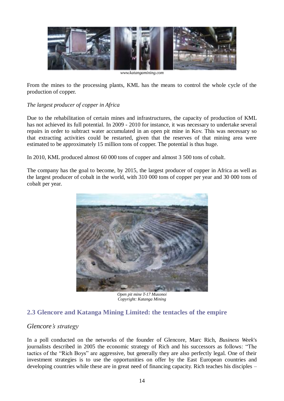

From the mines to the processing plants, KML has the means to control the whole cycle of the production of copper.

#### *The largest producer of copper in Africa*

Due to the rehabilitation of certain mines and infrastructures, the capacity of production of KML has not achieved its full potential. In 2009 - 2010 for instance, it was necessary to undertake several repairs in order to subtract water accumulated in an open pit mine in Kov. This was necessary so that extracting activities could be restarted, given that the reserves of that mining area were estimated to be approximately 15 million tons of copper. The potential is thus huge.

In 2010, KML produced almost 60 000 tons of copper and almost 3 500 tons of cobalt.

The company has the goal to become, by 2015, the largest producer of copper in Africa as well as the largest producer of cobalt in the world, with 310 000 tons of copper per year and 30 000 tons of cobalt per year.



*Open pit mine T-17 Musonoi Copyright: Katanga Mining*

# <span id="page-13-0"></span>**2.3 Glencore and Katanga Mining Limited: the tentacles of the empire**

#### <span id="page-13-1"></span>*Glencore's strategy*

In a poll conducted on the networks of the founder of Glencore, Marc Rich, *Business Week*'s journalists described in 2005 the economic strategy of Rich and his successors as follows: "The tactics of the "Rich Boys" are aggressive, but generally they are also perfectly legal. One of their investment strategies is to use the opportunities on offer by the East European countries and developing countries while these are in great need of financing capacity. Rich teaches his disciples –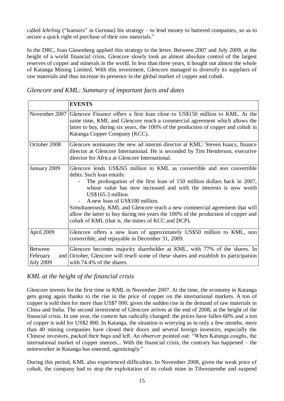called *lehrling* ("learners" in German) his strategy – to lend money to battered companies, so as to secure a quick right of purchase of their raw materials."

In the DRC, Ivan Glasenberg applied this strategy to the letter. Between 2007 and July 2009, at the height of a world financial crisis, Glencore slowly took an almost absolute control of the largest reserves of copper and minerals in the world. In less than three years, it bought out almost the whole of Katanga Mining Limited. With this investment, Glencore managed to diversify its suppliers of raw materials and thus increase its presence in the global market of copper and cobalt.

<span id="page-14-0"></span>

|                                                | <b>EVENTS</b>                                                                                                                                                                                                                                                                                                                                                                                                                                                                                                                           |
|------------------------------------------------|-----------------------------------------------------------------------------------------------------------------------------------------------------------------------------------------------------------------------------------------------------------------------------------------------------------------------------------------------------------------------------------------------------------------------------------------------------------------------------------------------------------------------------------------|
|                                                | November 2007 Glencore Finance offers a first loan close to US\$150 million to KML. At the<br>same time, KML and Glencore reach a commercial agreement which allows the<br>latter to buy, during six years, the 100% of the production of copper and cobalt in<br>Katanga Copper Company (KCC).                                                                                                                                                                                                                                         |
| October 2008                                   | Glencore nominates the new ad interim director at KML: Steven Isaacs, finance<br>director at Glencore International. He is seconded by Tim Henderson, executive<br>director for Africa at Glencore International.                                                                                                                                                                                                                                                                                                                       |
| January 2009                                   | Glencore lends US\$265 million to KML as convertible and non convertible<br>debts. Such loan entails:<br>The prolongation of the first loan of 150 million dollars back in 2007,<br>whose value has now increased and with the interests is now worth<br>US\$165.3 million.<br>A new loan of US\$100 million.<br>Simultaneously, KML and Glencore reach a new commercial agreement that will<br>allow the latter to buy during ten years the 100% of the production of copper and<br>cobalt of KML (that is, the mines of KCC and DCP). |
| April 2009                                     | Glencore offers a new loan of approximately US\$50 million to KML, non<br>convertible, and repayable in December 31, 2009.                                                                                                                                                                                                                                                                                                                                                                                                              |
| <b>Between</b><br>February<br><b>July 2009</b> | Glencore becomes majority shareholder at KML, with 77% of the shares. In<br>and October, Glencore will resell some of these shares and establish its participation<br>with 74.4% of the shares.                                                                                                                                                                                                                                                                                                                                         |

# <span id="page-14-1"></span>*KML at the height of the financial crisis*

Glencore invests for the first time in KML in November 2007. At the time, the economy in Katanga gets going again thanks to the rise in the price of copper on the international markets. A ton of copper is sold then for more than US\$7 000, given the sudden rise in the demand of raw materials in China and India. The second investment of Glencore arrives at the end of 2008, at the height of the financial crisis. In one year, the context has radically changed: the prices have fallen 60% and a ton of copper is sold for US\$2 800. In Katanga, the situation is worrying as in only a few months, more than 40 mining companies have closed their doors and several foreign investors, especially the Chinese investors, packed their bags and left. An observer pointed out: "When Katanga coughs, the international market of copper sneezes... With the financial crisis, the contrary has happened – the mineworker in Katanga has sneezed, agonizingly."

During this period, KML also experienced difficulties. In November 2008, given the weak price of cobalt, the company had to stop the exploitation of its cobalt mine in Tilwenzembe and suspend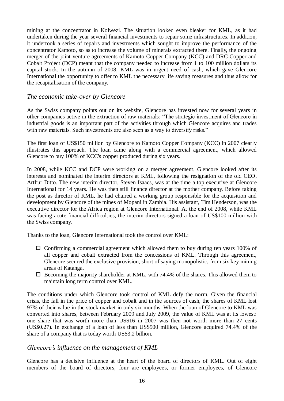mining at the concentrator in Kolwezi. The situation looked even bleaker for KML, as it had undertaken during the year several financial investments to repair some infrastructures. In addition, it undertook a series of repairs and investments which sought to improve the performance of the concentrator Kamoto, so as to increase the volume of minerals extracted there. Finally, the ongoing merger of the joint venture agreements of Kamoto Copper Company (KCC) and DRC Copper and Cobalt Project (DCP) meant that the company needed to increase from 1 to 100 million dollars its capital stock. In the autumn of 2008, KML was in urgent need of cash, which gave Glencore International the opportunity to offer to KML the necessary life saving measures and thus allow for the recapitalisation of the company.

#### <span id="page-15-0"></span>*The economic take-over by Glencore*

As the Swiss company points out on its website, Glencore has invested now for several years in other companies active in the extraction of raw materials: "The strategic investment of Glencore in industrial goods is an important part of the activities through which Glencore acquires and trades with raw materials. Such investments are also seen as a way to diversify risks."

The first loan of US\$150 million by Glencore to Kamoto Copper Company (KCC) in 2007 clearly illustrates this approach. The loan came along with a commercial agreement, which allowed Glencore to buy 100% of KCC's copper produced during six years.

In 2008, while KCC and DCP were working on a merger agreement, Glencore looked after its interests and nominated the interim directors at KML, following the resignation of the old CEO, Arthur Ditto. The new interim director, Steven Isaacs, was at the time a top executive at Glencore International for 14 years. He was then still finance director at the mother company. Before taking the post as director of KML, he had chaired a working group responsible for the acquisition and development by Glencore of the mines of Mopani in Zambia. His assistant, Tim Henderson, was the executive director for the Africa region at Glencore International. At the end of 2008, while KML was facing acute financial difficulties, the interim directors signed a loan of US\$100 million with the Swiss company.

Thanks to the loan, Glencore International took the control over KML:

- $\Box$  Confirming a commercial agreement which allowed them to buy during ten years 100% of all copper and cobalt extracted from the concessions of KML. Through this agreement, Glencore secured the exclusive provision, short of saying monopolistic, from six key mining areas of Katanga.
- $\Box$  Becoming the majority shareholder at KML, with 74.4% of the shares. This allowed them to maintain long term control over KML.

The conditions under which Glencore took control of KML defy the norm. Given the financial crisis, the fall in the price of copper and cobalt and in the sources of cash, the shares of KML lost 97% of their value in the stock market in only six months. When the loan of Glencore to KML was converted into shares, between February 2009 and July 2009, the value of KML was at its lowest: one share that was worth more than US\$16 in 2007 was then not worth more than 27 cents (US\$0.27). In exchange of a loan of less than US\$500 million, Glencore acquired 74.4% of the share of a company that is today worth US\$3.2 billion.

#### <span id="page-15-1"></span>*Glencore's influence on the management of KML*

Glencore has a decisive influence at the heart of the board of directors of KML. Out of eight members of the board of directors, four are employees, or former employees, of Glencore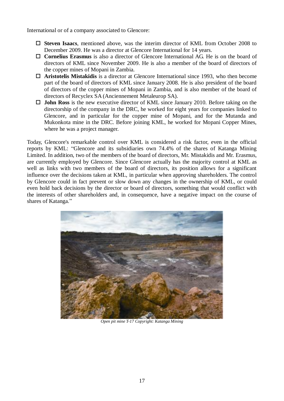International or of a company associated to Glencore:

- **Steven Isaacs**, mentioned above, was the interim director of KML from October 2008 to December 2009. He was a director at Glencore International for 14 years.
- **Cornelius Erasmus** is also a director of Glencore International AG. He is on the board of directors of KML since November 2009. He is also a member of the board of directors of the copper mines of Mopani in Zambia.
- **Aristotelis Mistakidis** is a director at Glencore International since 1993, who then become part of the board of directors of KML since January 2008. He is also president of the board of directors of the copper mines of Mopani in Zambia, and is also member of the board of directors of Recyclex SA (Anciennement Metaleurop SA).
- **John Ross** is the new executive director of KML since January 2010. Before taking on the directorship of the company in the DRC, he worked for eight years for companies linked to Glencore, and in particular for the copper mine of Mopani, and for the Mutanda and Mukonkota mine in the DRC. Before joining KML, he worked for Mopani Copper Mines, where he was a project manager.

Today, Glencore's remarkable control over KML is considered a risk factor, even in the official reports by KML: "Glencore and its subsidiaries own 74.4% of the shares of Katanga Mining Limited. In addition, two of the members of the board of directors, Mr. Mistakidis and Mr. Erasmus, are currently employed by Glencore. Since Glencore actually has the majority control at KML as well as links with two members of the board of directors, its position allows for a significant influence over the decisions taken at KML, in particular when approving shareholders. The control by Glencore could in fact prevent or slow down any changes in the ownership of KML, or could even hold back decisions by the director or board of directors, something that would conflict with the interests of other shareholders and, in consequence, have a negative impact on the course of shares of Katanga."



*Open pit mine T-17 Copyright: Katanga Mining*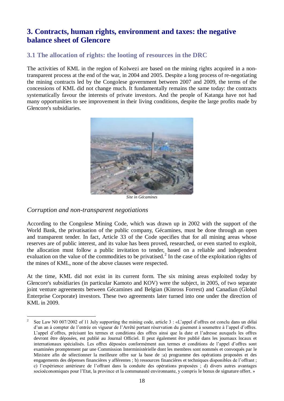# <span id="page-17-0"></span>**3. Contracts, human rights, environment and taxes: the negative balance sheet of Glencore**

# <span id="page-17-1"></span>**3.1 The allocation of rights: the looting of resources in the DRC**

The activities of KML in the region of Kolwezi are based on the mining rights acquired in a nontransparent process at the end of the war, in 2004 and 2005. Despite a long process of re-negotiating the mining contracts led by the Congolese government between 2007 and 2009, the terms of the concessions of KML did not change much. It fundamentally remains the same today: the contracts systematically favour the interests of private investors. And the people of Katanga have not had many opportunities to see improvement in their living conditions, despite the large profits made by Glencore's subsidiaries.



*Site in Gécamines*

#### <span id="page-17-2"></span>*Corruption and non-transparent negotiations*

According to the Congolese Mining Code, which was drawn up in 2002 with the support of the World Bank, the privatisation of the public company, Gécamines, must be done through an open and transparent tender. In fact, Article 33 of the Code specifies that for all mining areas whose reserves are of public interest, and its value has been proved, researched, or even started to exploit, the allocation must follow a public invitation to tender, based on a reliable and independent evaluation on the value of the commodities to be privatised.<sup>2</sup> In the case of the exploitation rights of the mines of KML, none of the above clauses were respected.

At the time, KML did not exist in its current form. The six mining areas exploited today by Glencore's subsidiaries (in particular Kamoto and KOV) were the subject, in 2005, of two separate joint venture agreements between Gécamines and Belgian (Kinross Forrest) and Canadian (Global Enterprise Corporate) investors. These two agreements later turned into one under the direction of KML in 2009.

<sup>1</sup> 2 See Law N0 007/2002 of 11 July supporting the mining code, article 3 : «L'appel d'offres est conclu dans un délai d'un an à compter de l'entrée en vigueur de l'Arrêté portant réservation du gisement à soumettre à l'appel d'offres. L'appel d'offres, précisant les termes et conditions des offres ainsi que la date et l'adresse auxquels les offres devront être déposées, est publié au Journal Officiel. Il peut également être publié dans les journaux locaux et internationaux spécialisés. Les offres déposées conformément aux termes et conditions de l'appel d'offres sont examinées promptement par une Commission Interministérielle dont les membres sont nommés et convoqués par le Ministre afin de sélectionner la meilleure offre sur la base de :a) programme des opérations proposées et des engagements des dépenses financières y afférentes ; b) ressources financières et techniques disponibles de l'offrant ; c) l'expérience antérieure de l'offrant dans la conduite des opérations proposées ; d) divers autres avantages socioéconomiques pour l'Etat, la province et la communauté environnante, y compris le bonus de signature offert. »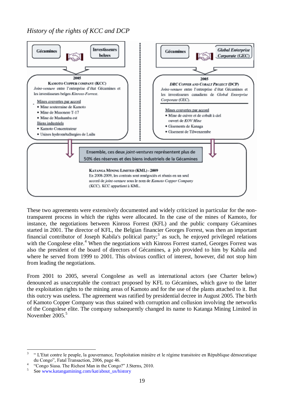<span id="page-18-0"></span>*History of the rights of KCC and DCP*



These two agreements were extensively documented and widely criticized in particular for the nontransparent process in which the rights were allocated. In the case of the mines of Kamoto, for instance, the negotiations between Kinross Forrest (KFL) and the public company Gécamines started in 2001. The director of KFL, the Belgian financier Georges Forrest, was then an important financial contributor of Joseph Kabila's political party;<sup>3</sup> as such, he enjoyed privileged relations with the Congolese elite.<sup>4</sup> When the negotiations with Kinross Forrest started, Georges Forrest was also the president of the board of directors of Gécamines, a job provided to him by Kabila and where he served from 1999 to 2001. This obvious conflict of interest, however, did not stop him from leading the negotiations.

From 2001 to 2005, several Congolese as well as international actors (see Charter below) denounced as unacceptable the contract proposed by KFL to Gécamines, which gave to the latter the exploitation rights to the mining areas of Kamoto and for the use of the plants attached to it. But this outcry was useless. The agreement was ratified by presidential decree in August 2005. The birth of Kamoto Copper Company was thus stained with corruption and collusion involving the networks of the Congolese elite. The company subsequently changed its name to Katanga Mining Limited in November 2005.<sup>5</sup>

<sup>&</sup>lt;u>.</u> 3 " L'Etat contre le peuple, la gouvernance, l'exploitation minière et le régime transitoire en République démocratique du Congo", Fatal Transaction, 2006, page 46.

<sup>4</sup> "Congo Siasa. The Richest Man in the Congo?" J.Sterns, 2010.

<sup>5</sup> See www.katangamining.com/kat/about\_us/history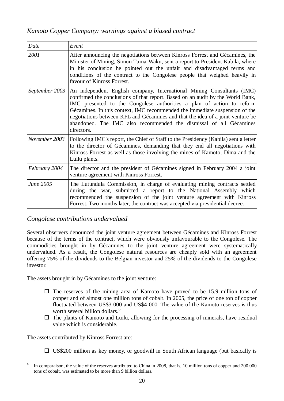#### <span id="page-19-0"></span>*Kamoto Copper Company: warnings against a biased contract*

| Date           | Event                                                                                                                                                                                                                                                                                                                                                                                                                                                                                  |
|----------------|----------------------------------------------------------------------------------------------------------------------------------------------------------------------------------------------------------------------------------------------------------------------------------------------------------------------------------------------------------------------------------------------------------------------------------------------------------------------------------------|
| 2001           | After announcing the negotiations between Kinross Forrest and Gécamines, the<br>Minister of Mining, Simon Tuma-Waku, sent a report to President Kabila, where<br>in his conclusion he pointed out the unfair and disadvantaged terms and<br>conditions of the contract to the Congolese people that weighed heavily in<br>favour of Kinross Forrest.                                                                                                                                   |
| September 2003 | An independent English company, International Mining Consultants (IMC)<br>confirmed the conclusions of that report. Based on an audit by the World Bank,<br>IMC presented to the Congolese authorities a plan of action to reform<br>Gécamines. In this context, IMC recommended the immediate suspension of the<br>negotiations between KFL and Gécamines and that the idea of a joint venture be<br>abandoned. The IMC also recommended the dismissal of all Gécamines<br>directors. |
| November 2003  | Following IMC's report, the Chief of Staff to the Presidency (Kabila) sent a letter<br>to the director of Gécamines, demanding that they end all negotiations with<br>Kinross Forrest as well as those involving the mines of Kamoto, Dima and the<br>Luilu plants.                                                                                                                                                                                                                    |
| February 2004  | The director and the president of Gécamines signed in February 2004 a joint<br>venture agreement with Kinross Forrest.                                                                                                                                                                                                                                                                                                                                                                 |
| June 2005      | The Lutundula Commission, in charge of evaluating mining contracts settled<br>during the war, submitted a report to the National Assembly which<br>recommended the suspension of the joint venture agreement with Kinross<br>Forrest. Two months later, the contract was accepted via presidential decree.                                                                                                                                                                             |

#### <span id="page-19-1"></span>*Congolese contributions undervalued*

Several observers denounced the joint venture agreement between Gécamines and Kinross Forrest because of the terms of the contract, which were obviously unfavourable to the Congolese. The commodities brought in by Gécamines to the joint venture agreement were systematically undervalued. As a result, the Congolese natural resources are cheaply sold with an agreement offering 75% of the dividends to the Belgian investor and 25% of the dividends to the Congolese investor.

The assets brought in by Gécamines to the joint venture:

- $\Box$  The reserves of the mining area of Kamoto have proved to be 15.9 million tons of copper and of almost one million tons of cobalt. In 2005, the price of one ton of copper fluctuated between US\$3 000 and US\$4 000. The value of the Kamoto reserves is thus worth several billion dollars.<sup>6</sup>
- $\Box$  The plants of Kamoto and Luilu, allowing for the processing of minerals, have residual value which is considerable.

The assets contributed by Kinross Forrest are:

 $\square$  US\$200 million as key money, or goodwill in South African language (but basically is

 $\frac{1}{6}$ In comparaison, the value of the reserves attributed to China in 2008, that is, 10 million tons of copper and 200 000 tons of cobalt, was estimated to be more than 9 billion dollars.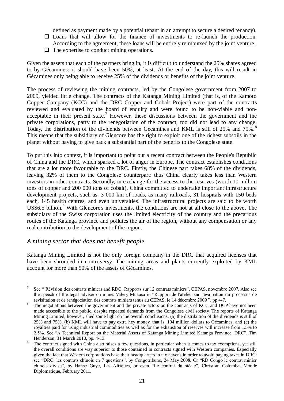defined as payment made by a potential tenant in an attempt to secure a desired tenancy).

- $\square$  Loans that will allow for the finance of investments to re-launch the production. According to the agreement, these loans will be entirely reimbursed by the joint venture.
- $\Box$  The expertise to conduct mining operations.

Given the assets that each of the partners bring in, it is difficult to understand the 25% shares agreed to by Gécamines: it should have been 50%, at least. At the end of the day, this will result in Gécamines only being able to receive 25% of the dividends or benefits of the joint venture.

The process of reviewing the mining contracts, led by the Congolese government from 2007 to 2009, yielded little change. The contracts of the Katanga Mining Limited (that is, of the Kamoto Copper Company (KCC) and the DRC Copper and Cobalt Project) were part of the contracts reviewed and evaluated by the board of enquiry and were found to be non-viable and nonacceptable in their present state.<sup>7</sup> However, these discussions between the government and the private corporations, party to the renegotiation of the contract, too did not lead to any change. Today, the distribution of the dividends between Gécamines and KML is still of 25% and 75%.<sup>8</sup> This means that the subsidiary of Glencore has the right to exploit one of the richest subsoils in the planet without having to give back a substantial part of the benefits to the Congolese state.

To put this into context, it is important to point out a recent contract between the People's Republic of China and the DRC, which sparked a lot of anger in Europe. The contract establishes conditions that are a lot more favourable to the DRC. Firstly, the Chinese part takes 68% of the dividends, leaving 32% of them to the Congolese counterpart: thus China clearly takes less than Western investors in other contracts. Secondly, in exchange for the access to the reserves (worth 10 million tons of copper and 200 000 tons of cobalt), China committed to undertake important infrastructure development projects, such as: 3 000 km of roads, as many railroads, 31 hospitals with 150 beds each, 145 health centres, and even universities! The infrastructural projects are said to be worth US\$6.5 billion. <sup>9</sup> With Glencore's investments, the conditions are not at all close to the above. The subsidiary of the Swiss corporation uses the limited electricity of the country and the precarious routes of the Katanga province and pollutes the air of the region, without any compensation or any real contribution to the development of the region.

#### <span id="page-20-0"></span>*A mining sector that does not benefit people*

1

Katanga Mining Limited is not the only foreign company in the DRC that acquired licenses that have been shrouded in controversy. The mining areas and plants currently exploited by KML account for more than 50% of the assets of Gécamines.

<sup>7</sup> See " Révision des contrats miniers and RDC. Rapports sur 12 contrats miniers", CEPAS, novembre 2007. Also see the speech of the legal adviser on mines Valery Mukasa in "Rapport de l'atelier sur l'évaluation du processus de revisitation et de renégociation des contrats miniers tenus au CEPAS, le 14 décembre 2009 ", pp.4-7.

The negotiations between the government and the private actors on the contracts of KCC and DCP have not been made accessible to the public, despite repeated demands from the Congolese civil society. The reports of Katanga Mining Limited, however, shed some light on the overall conclusions: (a) the distribution of the dividends is still of 25% and 75%, (b) KML will have to pay extra hey money, that is, 104 million dollars to Gécamines, and (c) the royalties paid for using industrial commodities as well as for the exhaustion of reserves will increase from 1.5% to 2.5%. See "A Technical Report on the Material Assets of Katanga Mining Limited Katanga Province, DRC", Tim Henderson, 31 March 2010, pp. 4-13.

<sup>9</sup> The contract signed with China also raises a few questions, in particular when it comes to tax exemptions, yet still the overall conditions are way superior to those contained in contracts signed with Western companies. Especially given the fact that Western corporations base their headquarters in tax havens in order to avoid paying taxes in DRC: see "DRC: les contrats chinois en 7 questions", by Congotribune, 24 May 2008. Or "RD Congo le contrat minier chinois divise", by Hanse Guye, Les Afriques, or even "Le contrat du siècle", Christian Colomba, Monde Diplomatique, February 2011.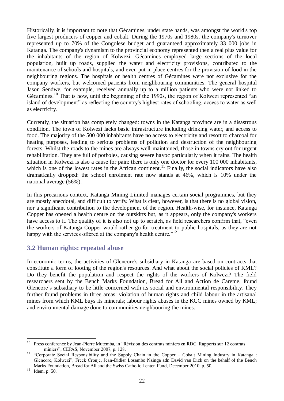Historically, it is important to note that Gécamines, under state hands, was amongst the world's top five largest producers of copper and cobalt. During the 1970s and 1980s, the company's turnover represented up to 70% of the Congolese budget and guaranteed approximately 33 000 jobs in Katanga. The company's dynamism to the provincial economy represented then a real plus value for the inhabitants of the region of Kolwezi. Gécamines employed large sections of the local population, built up roads, supplied the water and electricity provisions, contributed to the maintenance of schools and hospitals, and even put in place centres for the provision of food in the neighbouring regions. The hospitals or health centres of Gécamines were not exclusive for the company workers, but welcomed patients from neighbouring communities. The general hospital Jason Sendwe, for example, received annually up to a million patients who were not linked to Gécamines.<sup>10</sup> That is how, until the beginning of the 1990s, the region of Kolwezi represented "an island of development" as reflecting the country's highest rates of schooling, access to water as well as electricity.

Currently, the situation has completely changed: towns in the Katanga province are in a disastrous condition. The town of Kolwezi lacks basic infrastructure including drinking water, and access to food. The majority of the 500 000 inhabitants have no access to electricity and resort to charcoal for heating purposes, leading to serious problems of pollution and destruction of the neighbouring forests. Whilst the roads to the mines are always well-maintained, those in towns cry out for urgent rehabilitation. They are full of potholes, causing severe havoc particularly when it rains. The health situation in Kolwezi is also a cause for pain: there is only one doctor for every 100 000 inhabitants, which is one of the lowest rates in the African continent.<sup>11</sup> Finally, the social indicators have also dramatically dropped: the school enrolment rate now stands at 46%, which is 10% under the national average (56%).

In this precarious context, Katanga Mining Limited manages certain social programmes, but they are mostly anecdotal, and difficult to verify. What is clear, however, is that there is no global vision, nor a significant contribution to the development of the region. Health-wise, for instance, Katanga Copper has opened a health centre on the outskirts but, as it appears, only the company's workers have access to it. The quality of it is also not up to scratch, as field researchers confirm that, "even the workers of Katanga Copper would rather go for treatment to public hospitals, as they are not happy with the services offered at the company's health centre."<sup>12</sup>

# <span id="page-21-0"></span>**3.2 Human rights: repeated abuse**

In economic terms, the activities of Glencore's subsidiary in Katanga are based on contracts that constitute a form of looting of the region's resources. And what about the social policies of KML? Do they benefit the population and respect the rights of the workers of Kolwezi? The field researchers sent by the Bench Marks Foundation, Bread for All and Action de Careme, found Glencore's subsidiary to be little concerned with its social and environmental responsibility. They further found problems in three areas: violation of human rights and child labour in the artisanal mines from which KML buys its minerals; labour rights abuses in the KCC mines owned by KML; and environmental damage done to communities neighbouring the mines.

 $10\,$ <sup>10</sup> Press conference by Jean-Pierre Mutemba, in "Révision des contrats miniers en RDC. Rapports sur 12 contrats miniers", CEPAS, November 2007, p. 128.

<sup>&</sup>lt;sup>11</sup> "Corporate Social Responsibility and the Supply Chain in the Copper – Cobalt Mining Industry in Katanga : Glencore, Kolwezi", Freek Cronje, Jean-Didier Losambo Nzinga adn David van Dick on the behalf of the Bench Marks Foundation, Bread for All and the Swiss Catholic Lenten Fund, December 2010, p. 50.

 $12$  Idem, p. 50.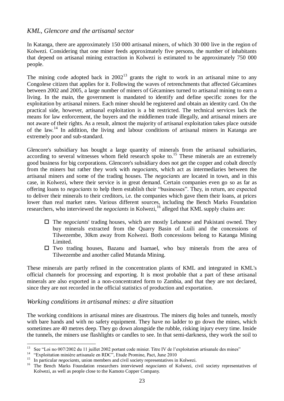#### <span id="page-22-0"></span>*KML, Glencore and the artisanal sector*

In Katanga, there are approximately 150 000 artisanal miners, of which 30 000 live in the region of Kolwezi. Considering that one miner feeds approximately five persons, the number of inhabitants that depend on artisanal mining extraction in Kolwezi is estimated to be approximately 750 000 people.

The mining code adopted back in  $2002<sup>13</sup>$  grants the right to work in an artisanal mine to any Congolese citizen that applies for it. Following the waves of retrenchments that affected Gécamines between 2002 and 2005, a large number of miners of Gécamines turned to artisanal mining to earn a living. In the main, the government is mandated to identify and define specific zones for the exploitation by artisanal miners. Each miner should be registered and obtain an identity card. On the practical side, however, artisanal exploitation is a bit restricted. The technical services lack the means for law enforcement, the buyers and the middlemen trade illegally, and artisanal miners are not aware of their rights. As a result, almost the majority of artisanal exploitation takes place outside of the law.<sup>14</sup> In addition, the living and labour conditions of artisanal miners in Katanga are extremely poor and sub-standard.

Glencore's subsidiary has bought a large quantity of minerals from the artisanal subsidiaries, according to several witnesses whom field research spoke to.<sup>15</sup> These minerals are an extremely good business for big corporations. Glencore's subsidiary does not get the copper and cobalt directly from the miners but rather they work with *negociants*, which act as intermediaries between the artisanal miners and some of the trading houses. The *negociants* are located in town, and in this case, in Kolwezi, where their service is in great demand. Certain companies even go so as far as offering loans to *negociants* to help them establish their "businesses". They, in return, are expected to deliver their minerals to their creditors, i.e. the companies which gave them their loans, at prices lower than real market rates. Various different sources, including the Bench Marks Foundation researchers, who interviewed the *negociants* in Kolwezi,<sup>16</sup> alleged that KML supply chains are:

- The *negociants*' trading houses, which are mostly Lebanese and Pakistani owned. They buy minerals extracted from the Quarry Basin of Luili and the concessions of Tilwezembe, 30km away from Kolwezi. Both concessions belong to Katanga Mining Limited.
- $\Box$  Two trading houses, Bazanu and Isamael, who buy minerals from the area of Tilwezembe and another called Mutanda Mining.

These minerals are partly refined in the concentration plants of KML and integrated in KML's official channels for processing and exporting. It is most probable that a part of these artisanal minerals are also exported in a non-concentrated form to Zambia, and that they are not declared, since they are not recorded in the official statistics of production and exportation.

#### <span id="page-22-1"></span>*Working conditions in artisanal mines: a dire situation*

The working conditions in artisanal mines are disastrous. The miners dig holes and tunnels, mostly with bare hands and with no safety equipment. They have no ladder to go down the mines, which sometimes are 40 metres deep. They go down alongside the rubble, risking injury every time. Inside the tunnels, the miners use flashlights or candles to see. In that semi-darkness, they work the soil to

<sup>13</sup> See "Loi no 007/2002 du 11 juillet 2002 portant code minier. Titre IV de l'exploitation artisanale des mines"

<sup>&</sup>lt;sup>14</sup> "Exploitation minière artisanale en RDC", Etude Promine, Pact, June 2010

<sup>&</sup>lt;sup>15</sup> In particular *negociants*, union members and civil society representatives in Kolwezi.

<sup>&</sup>lt;sup>16</sup> The Bench Marks Foundation researchers interviewed *negociants* of Kolwezi, civil society representatives of Kolwezi, as well as people close to the Kamoto Copper Company.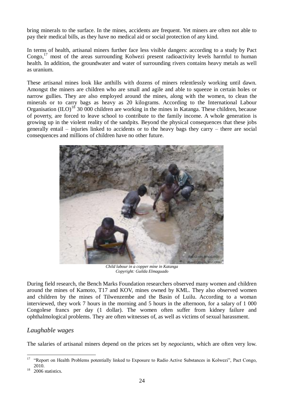bring minerals to the surface. In the mines, accidents are frequent. Yet miners are often not able to pay their medical bills, as they have no medical aid or social protection of any kind.

In terms of health, artisanal miners further face less visible dangers: according to a study by Pact Congo, $^{17}$  most of the areas surrounding Kolwezi present radioactivity levels harmful to human health. In addition, the groundwater and water of surrounding rivers contains heavy metals as well as uranium.

These artisanal mines look like anthills with dozens of miners relentlessly working until dawn. Amongst the miners are children who are small and agile and able to squeeze in certain holes or narrow gullies. They are also employed around the mines, along with the women, to clean the minerals or to carry bags as heavy as 20 kilograms. According to the International Labour Organisation  $(IIO)^{18}$  30 000 children are working in the mines in Katanga. These children, because of poverty, are forced to leave school to contribute to the family income. A whole generation is growing up in the violent reality of the sandpits. Beyond the physical consequences that these jobs generally entail – injuries linked to accidents or to the heavy bags they carry – there are social consequences and millions of children have no other future.



*Child labour in a copper mine in Katanga Copyright: Guilda Elmaguado*

During field research, the Bench Marks Foundation researchers observed many women and children around the mines of Kamoto, T17 and KOV, mines owned by KML. They also observed women and children by the mines of Tilwenzembe and the Basin of Luilu. According to a woman interviewed, they work 7 hours in the morning and 5 hours in the afternoon, for a salary of 1 000 Congolese francs per day (1 dollar). The women often suffer from kidney failure and ophthalmological problems. They are often witnesses of, as well as victims of sexual harassment.

#### <span id="page-23-0"></span>*Laughable wages*

The salaries of artisanal miners depend on the prices set by *negociants*, which are often very low.

<sup>17</sup> <sup>17</sup> "Report on Health Problems potentially linked to Exposure to Radio Active Substances in Kolwezi", Pact Congo, 2010.

 $18$  2006 statistics.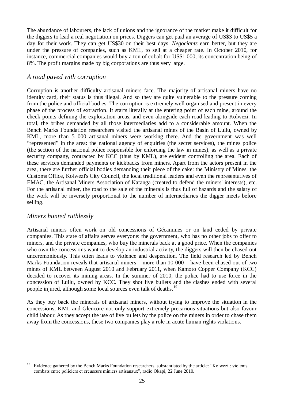The abundance of labourers, the lack of unions and the ignorance of the market make it difficult for the diggers to lead a real negotiation on prices. Diggers can get paid an average of US\$3 to US\$5 a day for their work. They can get US\$30 on their best days. *Negociants* earn better, but they are under the pressure of companies, such as KML, to sell at a cheaper rate. In October 2010, for instance, commercial companies would buy a ton of cobalt for US\$1 000, its concentration being of 8%. The profit margins made by big corporations are thus very large.

#### <span id="page-24-0"></span>*A road paved with corruption*

Corruption is another difficulty artisanal miners face. The majority of artisanal miners have no identity card, their status is thus illegal. And so they are quite vulnerable to the pressure coming from the police and official bodies. The corruption is extremely well organised and present in every phase of the process of extraction. It starts literally at the entering point of each mine, around the check points defining the exploitation areas, and even alongside each road leading to Kolwezi. In total, the bribes demanded by all those intermediaries add to a considerable amount. When the Bench Marks Foundation researchers visited the artisanal mines of the Basin of Luilu, owned by KML, more than 5 000 artisanal miners were working there. And the government was well "represented" in the area: the national agency of enquiries (the secret services), the mines police (the section of the national police responsible for enforcing the law in mines), as well as a private security company, contracted by KCC (thus by KML), are evident controlling the area. Each of these services demanded payments or kickbacks from miners. Apart from the actors present in the area, there are further official bodies demanding their piece of the cake: the Ministry of Mines, the Customs Office, Kolwezi's City Council, the local traditional leaders and even the representatives of EMAC, the Artisanal Miners Association of Katanga (created to defend the miners' interests), etc. For the artisanal miner, the road to the sale of the minerals is thus full of hazards and the salary of the work will be inversely proportional to the number of intermediaries the digger meets before selling.

#### <span id="page-24-1"></span>*Miners hunted ruthlessly*

1

Artisanal miners often work on old concessions of Gécamines or on land ceded by private companies. This state of affairs serves everyone: the government, who has no other jobs to offer to miners, and the private companies, who buy the minerals back at a good price. When the companies who own the concessions want to develop an industrial activity, the diggers will then be chased out unceremoniously. This often leads to violence and desperation. The field research led by Bench Marks Foundation reveals that artisanal miners – more than 10 000 – have been chased out of two mines of KML between August 2010 and February 2011, when Kamoto Copper Company (KCC) decided to recover its mining areas. In the summer of 2010, the police had to use force in the concession of Luilu, owned by KCC. They shot live bullets and the clashes ended with several people injured, although some local sources even talk of deaths.<sup>19</sup>

As they buy back the minerals of artisanal miners, without trying to improve the situation in the concessions, KML and Glencore not only support extremely precarious situations but also favour child labour. As they accept the use of live bullets by the police on the miners in order to chase them away from the concessions, these two companies play a role in acute human rights violations.

<sup>&</sup>lt;sup>19</sup> Evidence gathered by the Bench Marks Foundation researchers, substantiated by the article: "Kolwezi : violents combats entre policiers et creuseurs miniers artisanaux", radio Okapi, 22 June 2010.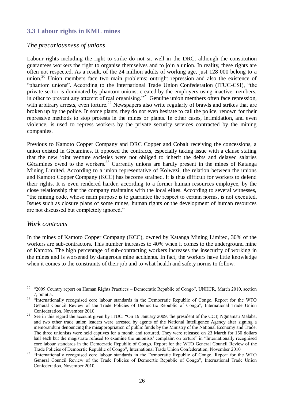# <span id="page-25-0"></span>**3.3 Labour rights in KML mines**

#### <span id="page-25-1"></span>*The precariousness of unions*

Labour rights including the right to strike do not sit well in the DRC, although the constitution guarantees workers the right to organise themselves and to join a union. In reality, these rights are often not respected. As a result, of the 24 million adults of working age, just 128 000 belong to a union.<sup>20</sup> Union members face two main problems: outright repression and also the existence of "phantom unions". According to the International Trade Union Confederation (ITUC-CSI), "the private sector is dominated by phantom unions, created by the employers using inactive members, in other to prevent any attempt of real organising."<sup>21</sup> Genuine union members often face repression, with arbitrary arrests, even torture.<sup>22</sup> Newspapers also write regularly of brawls and strikes that are broken up by the police. In some plants, they do not even hesitate to call the police, renown for their repressive methods to stop protests in the mines or plants. In other cases, intimidation, and even violence, is used to repress workers by the private security services contracted by the mining companies.

Previous to Kamoto Copper Company and DRC Copper and Cobalt receiving the concessions, a union existed in Gécamines. It opposed the contracts, especially taking issue with a clause stating that the new joint venture societies were not obliged to inherit the debts and delayed salaries Gécamines owed to the workers.<sup>23</sup> Currently unions are hardly present in the mines of Katanga Mining Limited. According to a union representative of Kolwezi, the relation between the unions and Kamoto Copper Company (KCC) has become strained. It is thus difficult for workers to defend their rights. It is even rendered harder, according to a former human resources employee, by the close relationship that the company maintains with the local elites. According to several witnesses, "the mining code, whose main purpose is to guarantee the respect to certain norms, is not executed. Issues such as closure plans of some mines, human rights or the development of human resources are not discussed but completely ignored."

#### <span id="page-25-2"></span>*Work contracts*

In the mines of Kamoto Copper Company (KCC), owned by Katanga Mining Limited, 30% of the workers are sub-contractors. This number increases to 40% when it comes to the underground mine of Kamoto. The high percentage of sub-contracting workers increases the insecurity of working in the mines and is worsened by dangerous mine accidents. In fact, the workers have little knowledge when it comes to the constraints of their job and to what health and safety norms to follow.

<sup>1</sup> <sup>20</sup> "2009 Country report on Human Rights Practices – Democratic Republic of Congo", UNHCR, March 2010, section 7, point a.

<sup>&</sup>lt;sup>21</sup> "Internationally recognised core labour standards in the Democratic Republic of Congo. Report for the WTO General Council Review of the Trade Policies of Democrtic Republic of Congo", International Trade Union Confederation, November 2010

<sup>&</sup>lt;sup>22</sup> See in this regard the account given by ITUC: "On 19 January 2009, the president of the CCT, Nginamau Malaba, and two other trade union leaders were arrested by agents of the National Intelligence Agency after signing a memorandum denouncing the misappropriation of public funds by the Ministry of the National Economy and Trade. The three unionists were held captives for a month and tortured. They were released on 23 March for 150 dollars bail each but the magistrate refused to examine the unionists' complaint on torture" in "Internationally recognised core labour standards in the Democratic Republic of Congo. Report for the WTO General Council Review of the Trade Policies of Democrtic Republic of Congo", International Trade Union Confederation, November 2010

<sup>&</sup>lt;sup>23</sup> "Internationally recognised core labour standards in the Democratic Republic of Congo. Report for the WTO General Council Review of the Trade Policies of Democrtic Republic of Congo", International Trade Union Confederation, November 2010.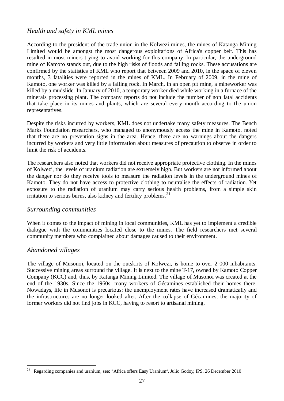#### <span id="page-26-0"></span>*Health and safety in KML mines*

According to the president of the trade union in the Kolwezi mines, the mines of Katanga Mining Limited would be amongst the most dangerous exploitations of Africa's copper belt. This has resulted in most miners trying to avoid working for this company. In particular, the underground mine of Kamoto stands out, due to the high risks of floods and falling rocks. These accusations are confirmed by the statistics of KML who report that between 2009 and 2010, in the space of eleven months, 3 fatalities were reported in the mines of KML. In February of 2009, in the mine of Kamoto, one worker was killed by a falling rock. In March, in an open pit mine, a mineworker was killed by a mudslide. In January of 2010, a temporary worker died while working in a furnace of the minerals processing plant. The company reports do not include the number of non fatal accidents that take place in its mines and plants, which are several every month according to the union representatives.

Despite the risks incurred by workers, KML does not undertake many safety measures. The Bench Marks Foundation researchers, who managed to anonymously access the mine in Kamoto, noted that there are no prevention signs in the area. Hence, there are no warnings about the dangers incurred by workers and very little information about measures of precaution to observe in order to limit the risk of accidents.

The researchers also noted that workers did not receive appropriate protective clothing. In the mines of Kolwezi, the levels of uranium radiation are extremely high. But workers are not informed about the danger nor do they receive tools to measure the radiation levels in the underground mines of Kamoto. They do not have access to protective clothing to neutralise the effects of radiation. Yet exposure to the radiation of uranium may carry serious health problems, from a simple skin irritation to serious burns, also kidney and fertility problems.  $24$ 

#### <span id="page-26-1"></span>*Surrounding communities*

When it comes to the impact of mining in local communities, KML has yet to implement a credible dialogue with the communities located close to the mines. The field researchers met several community members who complained about damages caused to their environment.

#### <span id="page-26-2"></span>*Abandoned villages*

1

The village of Musonoi, located on the outskirts of Kolwezi, is home to over 2 000 inhabitants. Successive mining areas surround the village. It is next to the mine T-17, owned by Kamoto Copper Company (KCC) and, thus, by Katanga Mining Limited. The village of Musonoi was created at the end of the 1930s. Since the 1960s, many workers of Gécamines established their homes there. Nowadays, life in Musonoi is precarious: the unemployment rates have increased dramatically and the infrastructures are no longer looked after. After the collapse of Gécamines, the majority of former workers did not find jobs in KCC, having to resort to artisanal mining.

<sup>&</sup>lt;sup>24</sup> Regarding companies and uranium, see: "Africa offers Easy Uranium", Julio Godoy, IPS, 26 December 2010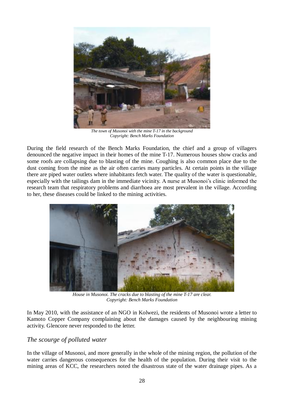

*The town of Musonoi with the mine T-17 in the background Copyright: Bench Marks Foundation*

During the field research of the Bench Marks Foundation, the chief and a group of villagers denounced the negative impact in their homes of the mine T-17. Numerous houses show cracks and some roofs are collapsing due to blasting of the mine. Coughing is also common place due to the dust coming from the mine as the air often carries many particles. At certain points in the village there are piped water outlets where inhabitants fetch water. The quality of the water is questionable, especially with the tailings dam in the immediate vicinity. A nurse at Musonoi's clinic informed the research team that respiratory problems and diarrhoea are most prevalent in the village. According to her, these diseases could be linked to the mining activities.



*House in Musonoi. The cracks due to blasting of the mine T-17 are clear. Copyright: Bench Marks Foundation*

In May 2010, with the assistance of an NGO in Kolwezi, the residents of Musonoi wrote a letter to Kamoto Copper Company complaining about the damages caused by the neighbouring mining activity. Glencore never responded to the letter.

#### <span id="page-27-0"></span>*The scourge of polluted water*

In the village of Musonoi, and more generally in the whole of the mining region, the pollution of the water carries dangerous consequences for the health of the population. During their visit to the mining areas of KCC, the researchers noted the disastrous state of the water drainage pipes. As a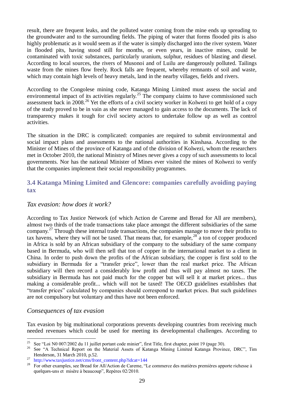result, there are frequent leaks, and the polluted water coming from the mine ends up spreading to the groundwater and to the surrounding fields. The piping of water that forms flooded pits is also highly problematic as it would seem as if the water is simply discharged into the river system. Water in flooded pits, having stood still for months, or even years, in inactive mines, could be contaminated with toxic substances, particularly uranium, sulphur, residues of blasting and diesel. According to local sources, the rivers of Musonoi and of Luilu are dangerously polluted. Tailings waste from the mines flow freely. Rock falls are frequent, whereby remnants of soil and waste, which may contain high levels of heavy metals, land in the nearby villages, fields and rivers.

According to the Congolese mining code, Katanga Mining Limited must assess the social and environmental impact of its activities regularly.<sup>25</sup> The company claims to have commissioned such assessment back in 2008<sup>26</sup> Yet the efforts of a civil society worker in Kolwezi to get hold of a copy of the study proved to be in vain as she never managed to gain access to the documents. The lack of transparency makes it tough for civil society actors to undertake follow up as well as control activities.

The situation in the DRC is complicated: companies are required to submit environmental and social impact plans and assessments to the national authorities in Kinshasa. According to the Minister of Mines of the province of Katanga and of the division of Kolwezi, whom the researchers met in October 2010, the national Ministry of Mines never gives a copy of such assessments to local governments. Nor has the national Minister of Mines ever visited the mines of Kolwezi to verify that the companies implement their social responsibility programmes.

# <span id="page-28-0"></span>**3.4 Katanga Mining Limited and Glencore: companies carefully avoiding paying tax**

#### <span id="page-28-1"></span>*Tax evasion: how does it work?*

According to Tax Justice Network (of which Action de Careme and Bread for All are members), almost two thirds of the trade transactions take place amongst the different subsidiaries of the same company.<sup>27</sup> Through these internal trade transactions, the companies manage to move their profits to tax havens, where they will not be taxed. That means that, for example,  $28^\circ$  a ton of copper produced in Africa is sold by an African subsidiary of the company to the subsidiary of the same company based in Bermuda, who will then sell that ton of copper in the international market to a client in China. In order to push down the profits of the African subsidiary, the copper is first sold to the subsidiary in Bermuda for a "transfer price", lower than the real market price. The African subsidiary will then record a considerably low profit and thus will pay almost no taxes. The subsidiary in Bermuda has not paid much for the copper but will sell it at market prices... thus making a considerable profit... which will not be taxed! The OECD guidelines establishes that "transfer prices" calculated by companies should correspond to market prices. But such guidelines are not compulsory but voluntary and thus have not been enforced.

#### <span id="page-28-2"></span>*Consequences of tax evasion*

Tax evasion by big multinational corporations prevents developing countries from receiving much needed revenues which could be used for meeting its developmental challenges. According to

<sup>25</sup> <sup>25</sup> See "Loi N0 007/2002 du 11 juillet portant code minier", first Title, first chapter, point 19 (page 30).

<sup>26</sup> See "A Technical Report on the Material Assets of Katanga Mining Limited Katanga Province, DRC", Tim Henderson, 31 March 2010, p.52.

 $27 \text{ http://www.taxjustice.net/cms/front content.php?ideal=144}$ 

<sup>&</sup>lt;sup>28</sup> For other examples, see Bread for All/Action de Careme, "Le commerce des matières premières apporte richesse à quelques-uns et misère à beaucoup", Repères 02/2010.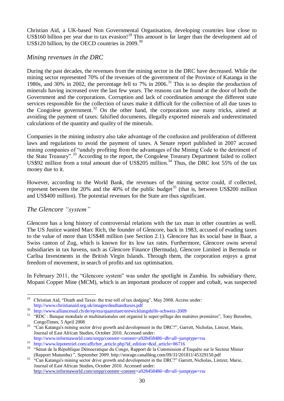Christian Aid, a UK-based Non Governmental Organisation, developing countries lose close to US\$160 billion per year due to tax evasion!<sup>29</sup> This amount is far larger than the development aid of US\$120 billion, by the OECD countries in  $2009$ <sup>30</sup>

#### <span id="page-29-0"></span>*Mining revenues in the DRC*

During the past decades, the revenues from the mining sector in the DRC have decreased. While the mining sector represented 70% of the revenues of the government of the Province of Katanga in the 1980s, and 30% in 2002, the percentage fell to 7% in 2006.<sup>31</sup> This is so despite the production of minerals having increased over the last few years. The reasons can be found at the door of both the Government and the corporations. Corruption and lack of coordination amongst the different state services responsible for the collection of taxes make it difficult for the collection of all due taxes to the Congolese government.<sup>32</sup> On the other hand, the corporations use many tricks, aimed at avoiding the payment of taxes: falsified documents, illegally exported minerals and underestimated calculations of the quantity and quality of the minerals.

Companies in the mining industry also take advantage of the confusion and proliferation of different laws and regulations to avoid the payment of taxes. A Senate report published in 2007 accused mining companies of "unduly profiting from the advantages of the Mining Code to the detriment of the State Treasury".<sup>33</sup> According to the report, the Congolese Treasury Department failed to collect US\$92 million from a total amount due of US\$205 million.<sup>34</sup> Thus, the DRC lost 55% of the tax money due to it.

However, according to the World Bank, the revenues of the mining sector could, if collected, represent between the 20% and the 40% of the public budget<sup>35</sup> (that is, between US\$200 million and US\$400 million). The potential revenues for the State are thus significant.

#### <span id="page-29-1"></span>*The Glencore "system"*

Glencore has a long history of controversial relations with the tax man in other countries as well. The US Justice wanted Marc Rich, the founder of Glencore, back in 1983, accused of evading taxes to the value of more than US\$48 million (see Section 2.1). Glencore has its social base in Baar, a Swiss canton of Zug, which is known for its low tax rates. Furthermore, Glencore owns several subsidiaries in tax havens, such as Glencore Finance (Bermuda), Glencore Limited in Bermuda or Carlisa Investments in the British Virgin Islands. Through them, the corporation enjoys a great freedom of movement, in search of profits and tax optimisation.

In February 2011, the "Glencore system" was under the spotlight in Zambia. Its subsidiary there, Mopani Copper Mine (MCM), which is an important producer of copper and cobalt, was suspected

 $\sqrt{29}$ <sup>29</sup> Christian Aid, "Death and Taxes: the true toll of tax dodging", May 2008. Access under: http://www.christianaid.org.uk/images/deathandtaxes.pdf

 $\frac{30}{10}$  http://www.alliancesud.ch/de/ep/eza/quantitaet/entwicklungshilfe-schweiz-2009<br> $\frac{31}{10}$  "RDC : Banque mondiale et multinationales ont organisé le super pillage des ma

<sup>31</sup> "RDC : Banque mondiale et multinationales ont organisé le super-pillage des matières premières", Tony Busselen, CongoTimes, 5 April 2008

<sup>&</sup>lt;sup>32</sup> "Can Katanga's mining sector drive growth and development in the DRC?", Garrett, Nicholas, Lintzer, Marie, Journal of East African Studies, October 2010. Accessed under:

http://www.informaworld.com/smpp/content~content=a928458486~db=all~jumptype=rss

<sup>&</sup>lt;sup>33</sup> http://www.lepotentiel.com/afficher\_article.php?id\_edition=&id\_article=86716

<sup>&</sup>lt;sup>34</sup> "Sénat de la République Démocratique du Congo, Rapport de la Commission d'Enquête sur le Secteur Minier (Rapport Mutamba) ", September 2009. http://storage.canalblog.com/09/31/201811/45329150.pdf

<sup>&</sup>lt;sup>35</sup> "Can Katanga's mining sector drive growth and development in the DRC?" Garrett, Nicholas, Lintzer, Marie, Journal of East African Studies, October 2010. Accessed under: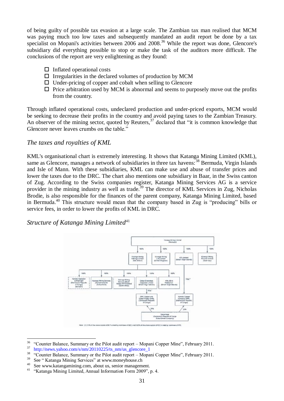of being guilty of possible tax evasion at a large scale. The Zambian tax man realised that MCM was paying much too low taxes and subsequently mandated an audit report be done by a tax specialist on Mopani's activities between  $2006$  and  $2008$ .<sup>36</sup> While the report was done, Glencore's subsidiary did everything possible to stop or make the task of the auditors more difficult. The conclusions of the report are very enlightening as they found:

- $\Box$  Inflated operational costs
- $\Box$  Irregularities in the declared volumes of production by MCM
- $\Box$  Under-pricing of copper and cobalt when selling to Glencore
- $\Box$  Price arbitration used by MCM is abnormal and seems to purposely move out the profits from the country.

Through inflated operational costs, undeclared production and under-priced exports, MCM would be seeking to decrease their profits in the country and avoid paying taxes to the Zambian Treasury. An observer of the mining sector, quoted by Reuters,  $37$  declared that "it is common knowledge that Glencore never leaves crumbs on the table."

#### <span id="page-30-0"></span>*The taxes and royalties of KML*

KML's organisational chart is extremely interesting. It shows that Katanga Mining Limited (KML), same as Glencore, manages a network of subsidiaries in three tax havens:<sup>38</sup> Bermuda, Virgin Islands and Isle of Mann. With these subsidiaries, KML can make use and abuse of transfer prices and lower the taxes due to the DRC. The chart also mentions one subsidiary in Baar, in the Swiss canton of Zug. According to the Swiss companies register, Katanga Mining Services AG is a service provider in the mining industry as well as trade.<sup>39</sup> The director of KML Services in Zug, Nicholas Brodie, is also responsible for the finances of the parent company, Katanga Mining Limited, based in Bermuda.<sup>40</sup> This structure would mean that the company based in Zug is "producing" bills or service fees, in order to lower the profits of KML in DRC.

<span id="page-30-1"></span>*Structure of Katanga Mining Limited*<sup>41</sup>



<sup>36</sup> <sup>36</sup> "Counter Balance, Summary or the Pilot audit report – Mopani Copper Mine", February 2011.

 $\frac{37}{18}$  http://news.yahoo.com/s/nm/20110225/ts\_nm/us\_glencore\_1

 $\frac{38}{38}$  "Counter Balance, Summary or the Pilot audit report – Mopani Copper Mine", February 2011.

 $39$  See " Katanga Mining Services" at www.moneyhouse.ch

<sup>&</sup>lt;sup>40</sup> See www.katangamining.com, about us, senior management.

<sup>&</sup>quot;Katanga Mining Limited, Annual Information Form 2009", p. 4.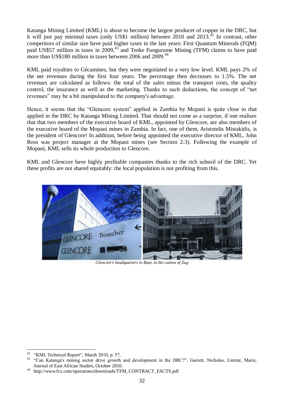Katanga Mining Limited (KML) is about to become the largest producer of copper in the DRC, but it will just pay minimal taxes (only US\$1 million) between 2010 and  $2013.^{42}$  In contrast, other competitors of similar size have paid higher taxes in the last years: First Quantum Minerals (FQM) paid US\$57 million in taxes in  $2009<sup>43</sup>$  and Tenke Fungurume Mining (TFM) claims to have paid more than US\$180 million in taxes between 2006 and 2009.<sup>44</sup>

KML paid royalties to Gécamines, but they were negotiated to a very low level. KML pays 2% of the net revenues during the first four years. The percentage then decreases to 1.5%. The net revenues are calculated as follows: the total of the sales minus the transport costs, the quality control, the insurance as well as the marketing. Thanks to such deductions, the concept of "net revenues" may be a bit manipulated to the company's advantage.

Hence, it seems that the "Glencore system" applied in Zambia by Mopani is quite close to that applied in the DRC by Katanga Mining Limited. That should not come as a surprise, if one realises that that two members of the executive board of KML, appointed by Glencore, are also members of the executive board of the Mopani mines in Zambia. In fact, one of them, Aristotelis Mistakidis, is the president of Glencore! In addition, before being appointed the executive director of KML, John Ross was project manager at the Mopani mines (see Section 2.3). Following the example of Mopani, KML sells its whole production to Glencore.

KML and Glencore have highly profitable companies thanks to the rich subsoil of the DRC. Yet these profits are not shared equitably: the local population is not profiting from this.



*Glencore's headquarters in Baar, in the canton of Zug*

 $42^{\circ}$  $^{42}$  "KML Technical Report", March 2010, p. 57.

<sup>43</sup> "Can Katanga's mining sector drive growth and development in the DRC?", Garrett, Nicholas, Lintzer, Marie, Journal of East African Studies, October 2010.

<sup>44</sup> http://www.fcx.com/operations/downloads/TFM\_CONTRACT\_FACTS.pdf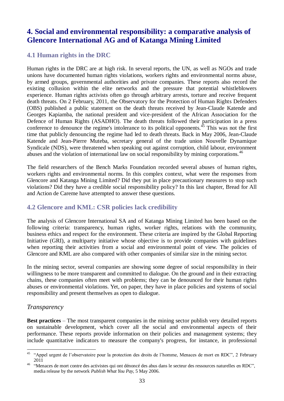# <span id="page-32-0"></span>**4. Social and environmental responsibility: a comparative analysis of Glencore International AG and of Katanga Mining Limited**

# <span id="page-32-1"></span>**4.1 Human rights in the DRC**

Human rights in the DRC are at high risk. In several reports, the UN, as well as NGOs and trade unions have documented human rights violations, workers rights and environmental norms abuse, by armed groups, governmental authorities and private companies. These reports also record the existing collusion within the elite networks and the pressure that potential whistleblowers experience. Human rights activists often go through arbitrary arrests, torture and receive frequent death threats. On 2 February, 2011, the Observatory for the Protection of Human Rights Defenders (OBS) published a public statement on the death threats received by Jean-Claude Katende and Georges Kapiamba, the national president and vice-president of the African Association for the Defence of Human Rights (ASADHO). The death threats followed their participation in a press conference to denounce the regime's intolerance to its political opponents.<sup>45</sup> This was not the first time that publicly denouncing the regime had led to death threats. Back in May 2006, Jean-Claude Katende and Jean-Pierre Muteba, secretary general of the trade union Nouvelle Dynamique Syndicale (NDS), were threatened when speaking out against corruption, child labour, environment abuses and the violation of international law on social responsibility by mining corporations.<sup>46</sup>

The field researchers of the Bench Marks Foundation recorded several abuses of human rights, workers rights and environmental norms. In this complex context, what were the responses from Glencore and Katanga Mining Limited? Did they put in place precautionary measures to stop such violations? Did they have a credible social responsibility policy? In this last chapter, Bread for All and Action de Careme have attempted to answer these questions.

# <span id="page-32-2"></span>**4.2 Glencore and KML: CSR policies lack credibility**

The analysis of Glencore International SA and of Katanga Mining Limited has been based on the following criteria: transparency, human rights, worker rights, relations with the community, business ethics and respect for the environment. These criteria are inspired by the Global Reporting Initiative (GRI), a multiparty initiative whose objective is to provide companies with guidelines when reporting their activities from a social and environmental point of view. The policies of Glencore and KML are also compared with other companies of similar size in the mining sector.

In the mining sector, several companies are showing some degree of social responsibility in their willingness to be more transparent and committed to dialogue. On the ground and in their extracting chains, these companies often meet with problems; they can be denounced for their human rights abuses or environmental violations. Yet, on paper, they have in place policies and systems of social responsibility and present themselves as open to dialogue.

# <span id="page-32-3"></span>*Transparency*

**Best practices** – The most transparent companies in the mining sector publish very detailed reports on sustainable development, which cover all the social and environmental aspects of their performance. These reports provide information on their policies and management systems; they include quantitative indicators to measure the company's progress, for instance, in professional

 $45$ <sup>45</sup> "Appel urgent de l'observatoire pour la protection des droits de l'homme, Menaces de mort en RDC", 2 February 2011

<sup>&</sup>lt;sup>46</sup> "Menaces de mort contre des activistes qui ont dénoncé des abus dans le secteur des ressources naturelles en RDC", media release by the network *Publish What You Pay,* 5 May 2006.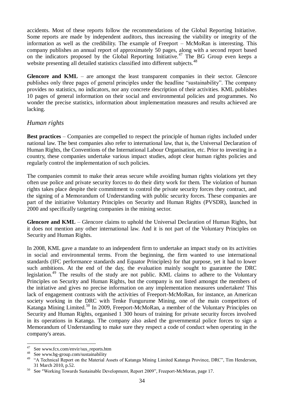accidents. Most of these reports follow the recommendations of the Global Reporting Initiative. Some reports are made by independent auditors, thus increasing the viability or integrity of the information as well as the credibility. The example of Freeport – McMoRan is interesting. This company publishes an annual report of approximately 50 pages, along with a second report based on the indicators proposed by the Global Reporting Initiative.<sup>47</sup> The BG Group even keeps a website presenting all detailed statistics classified into different subjects.<sup>48</sup>

Glencore and KML – are amongst the least transparent companies in their sector. Glencore publishes only three pages of general principles under the headline "sustainability". The company provides no statistics, no indicators, nor any concrete description of their activities. KML publishes 10 pages of general information on their social and environmental policies and programmes. No wonder the precise statistics, information about implementation measures and results achieved are lacking.

#### <span id="page-33-0"></span>*Human rights*

**Best practices** – Companies are compelled to respect the principle of human rights included under national law. The best companies also refer to international law, that is, the Universal Declaration of Human Rights, the Conventions of the International Labour Organisation, etc. Prior to investing in a country, these companies undertake various impact studies, adopt clear human rights policies and regularly control the implementation of such policies.

The companies commit to make their areas secure while avoiding human rights violations yet they often use police and private security forces to do their dirty work for them. The violation of human rights takes place despite their commitment to control the private security forces they contract, and the signing of a Memorandum of Understanding with public security forces. These companies are part of the initiative Voluntary Principles on Security and Human Rights (PVSDR), launched in 2000 and specifically targeting companies in the mining sector.

**Glencore and KML** – Glencore claims to uphold the Universal Declaration of Human Rights, but it does not mention any other international law. And it is not part of the Voluntary Principles on Security and Human Rights.

In 2008, KML gave a mandate to an independent firm to undertake an impact study on its activities in social and environmental terms. From the beginning, the firm wanted to use international standards (IFC performance standards and Equator Principles) for that purpose, yet it had to lower such ambitions. At the end of the day, the evaluation mainly sought to guarantee the DRC legislation.<sup>49</sup> The results of the study are not public. KML claims to adhere to the Voluntary Principles on Security and Human Rights, but the company is not listed amongst the members of the initiative and gives no precise information on any implementation measures undertaken! This lack of engagement contrasts with the activities of Freeport-McMoRan, for instance, an American society working in the DRC with Tenke Fungurume Mining, one of the main competitors of Katanga Mining Limited.<sup>50</sup> In 2009, Freeport-McMoRan, a member of the Voluntary Principles on Security and Human Rights, organised 1 300 hours of training for private security forces involved in its operations in Katanga. The company also asked the governmental police forces to sign a Memorandum of Understanding to make sure they respect a code of conduct when operating in the company's areas.

1

See www.fcx.com/envir/sus\_reports.htm

<sup>48</sup> See www.bg-group.com/sustainability

<sup>&</sup>lt;sup>49</sup> "A Technical Report on the Material Assets of Katanga Mining Limited Katanga Province, DRC", Tim Henderson, 31 March 2010, p.52.

<sup>50</sup> See "Working Towards Sustainable Development, Report 2009", Freeport-McMoran, page 17.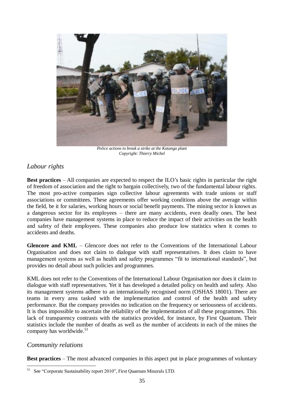

*Police actions to break a strike at the Katanga plant Copyright: Thierry Michel*

# <span id="page-34-0"></span>*Labour rights*

**Best practices** – All companies are expected to respect the ILO's basic rights in particular the right of freedom of association and the right to bargain collectively, two of the fundamental labour rights. The most pro-active companies sign collective labour agreements with trade unions or staff associations or committees. These agreements offer working conditions above the average within the field, be it for salaries, working hours or social benefit payments. The mining sector is known as a dangerous sector for its employees – there are many accidents, even deadly ones. The best companies have management systems in place to reduce the impact of their activities on the health and safety of their employees. These companies also produce low statistics when it comes to accidents and deaths.

**Glencore and KML** – Glencore does not refer to the Conventions of the International Labour Organisation and does not claim to dialogue with staff representatives. It does claim to have management systems as well as health and safety programmes "fit to international standards", but provides no detail about such policies and programmes.

KML does not refer to the Conventions of the International Labour Organisation nor does it claim to dialogue with staff representatives. Yet it has developed a detailed policy on health and safety. Also its management systems adhere to an internationally recognised norm (OSHAS 18001). There are teams in every area tasked with the implementation and control of the health and safety performance. But the company provides no indication on the frequency or seriousness of accidents. It is thus impossible to ascertain the reliability of the implementation of all these programmes. This lack of transparency contrasts with the statistics provided, for instance, by First Quantum. Their statistics include the number of deaths as well as the number of accidents in each of the mines the company has worldwide. 51

#### <span id="page-34-1"></span>*Community relations*

**Best practices** – The most advanced companies in this aspect put in place programmes of voluntary

<sup>1</sup> <sup>51</sup> See "Corporate Sustainability report 2010", First Quantum Minerals LTD.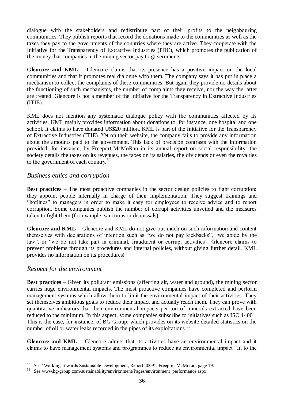dialogue with the stakeholders and redistribute part of their profits to the neighbouring communities. They publish reports that record the donations made to the communities as well as the taxes they pay to the governments of the countries where they are active. They cooperate with the Initiative for the Transparency of Extractive Industries (ITIE), which promotes the publication of the money that companies in the mining sector pay to governments.

Glencore and KML – Glencore claims that its presence has a positive impact on the local communities and that it promotes real dialogue with them. The company says it has put in place a mechanism to collect the complaints of these communities. But again they provide no details about the functioning of such mechanisms, the number of complaints they receive, nor the way the latter are treated. Glencore is not a member of the Initiative for the Transparency in Extractive Industries (ITIE).

KML does not mention any systematic dialogue policy with the communities affected by its activities. KML mainly provides information about donations to, for instance, one hospital and one school. It claims to have donated US\$20 million. KML is part of the Initiative for the Transparency of Extractive Industries (ITIE). Yet on their website, the company fails to provide any information about the amounts paid to the government. This lack of precision contrasts with the information provided, for instance, by Freeport-McMoRan in its annual report on social responsibility: the society details the taxes on its revenues, the taxes on its salaries, the dividends or even the royalties to the government of each country. $52$ 

#### <span id="page-35-0"></span>*Business ethics and corruption*

**Best practices** – The most proactive companies in the sector design policies to fight corruption: they appoint people internally in charge of their implementation. They suggest trainings and "hotlines" to managers in order to make it easy for employees to receive advice and to report corruption. Some companies publish the number of corrupt activities unveiled and the measures taken to fight them (for example, sanctions or dismissals).

**Glencore and KML** – Glencore and KML do not give out much on such information and content themselves with declarations of intention such as "we do not pay kickbacks", "we abide by the law", or "we do not take part in criminal, fraudulent or corrupt activities". Glencore claims to prevent problems through its procedures and internal policies, without giving further detail. KML provides no information on its procedures!

#### <span id="page-35-1"></span>*Respect for the environment*

<u>.</u>

**Best practices** – Given its pollutant emissions (affecting air, water and ground), the mining sector carries huge environmental impacts. The most proactive companies have completed and perform management systems which allow them to limit the environmental impact of their activities. They set themselves ambitious goals to reduce their impact and actually reach them. They can prove with quantitative indicators that their environmental impacts per ton of minerals extracted have been reduced to the minimum. In this aspect, some companies subscribe to initiatives such as ISO 14001. This is the case, for instance, of BG Group, which provides on its website detailed statistics on the number of oil or water leaks recorded in the pipes of its exploitations.<sup>53</sup>

Glencore and KML – Glencore admits that its activities have an environmental impact and it claims to have management systems and programmes to reduce its environmental impact "fit to the

<sup>52</sup> See "Working Towards Sustainable Development, Report 2009", Freeport-McMoran, page 19.

<sup>53</sup> See www.bg-group.com/sustainability/environment/Pages/environment\_performance.aspx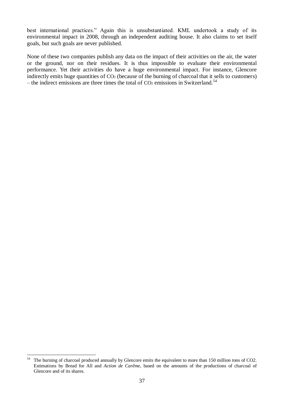best international practices." Again this is unsubstantiated. KML undertook a study of its environmental impact in 2008, through an independent auditing house. It also claims to set itself goals, but such goals are never published.

None of these two companies publish any data on the impact of their activities on the air, the water or the ground, nor on their residues. It is thus impossible to evaluate their environmental performance. Yet their activities do have a huge environmental impact. For instance, Glencore indirectly emits huge quantities of  $CO<sub>2</sub>$  (because of the burning of charcoal that it sells to customers) – the indirect emissions are three times the total of  $CO<sub>2</sub>$  emissions in Switzerland.<sup>54</sup>

<sup>54</sup> The burning of charcoal produced annually by Glencore emits the equivalent to more than 150 million tons of CO2. Estimations by Bread for All and *Action de Carême*, based on the amounts of the productions of charcoal of Glencore and of its shares.